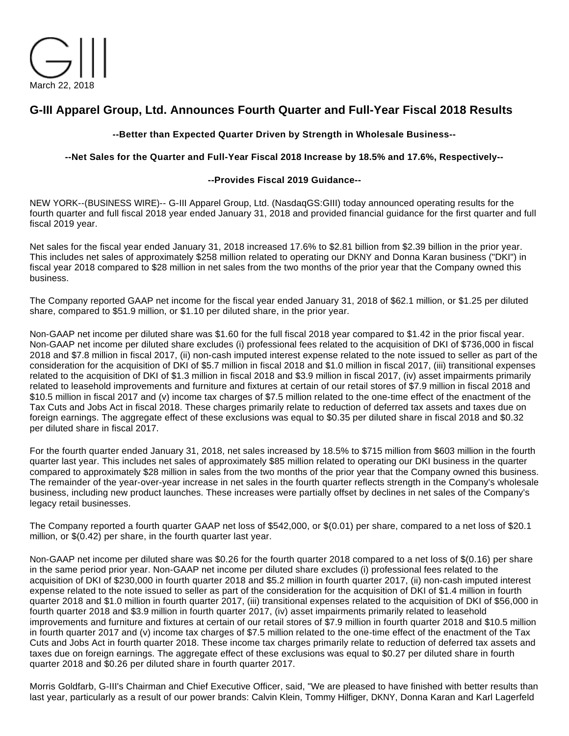

# **G-III Apparel Group, Ltd. Announces Fourth Quarter and Full-Year Fiscal 2018 Results**

## **--Better than Expected Quarter Driven by Strength in Wholesale Business--**

### **--Net Sales for the Quarter and Full-Year Fiscal 2018 Increase by 18.5% and 17.6%, Respectively--**

### **--Provides Fiscal 2019 Guidance--**

NEW YORK--(BUSINESS WIRE)-- G-III Apparel Group, Ltd. (NasdaqGS:GIII) today announced operating results for the fourth quarter and full fiscal 2018 year ended January 31, 2018 and provided financial guidance for the first quarter and full fiscal 2019 year.

Net sales for the fiscal year ended January 31, 2018 increased 17.6% to \$2.81 billion from \$2.39 billion in the prior year. This includes net sales of approximately \$258 million related to operating our DKNY and Donna Karan business ("DKI") in fiscal year 2018 compared to \$28 million in net sales from the two months of the prior year that the Company owned this business.

The Company reported GAAP net income for the fiscal year ended January 31, 2018 of \$62.1 million, or \$1.25 per diluted share, compared to \$51.9 million, or \$1.10 per diluted share, in the prior year.

Non-GAAP net income per diluted share was \$1.60 for the full fiscal 2018 year compared to \$1.42 in the prior fiscal year. Non-GAAP net income per diluted share excludes (i) professional fees related to the acquisition of DKI of \$736,000 in fiscal 2018 and \$7.8 million in fiscal 2017, (ii) non-cash imputed interest expense related to the note issued to seller as part of the consideration for the acquisition of DKI of \$5.7 million in fiscal 2018 and \$1.0 million in fiscal 2017, (iii) transitional expenses related to the acquisition of DKI of \$1.3 million in fiscal 2018 and \$3.9 million in fiscal 2017, (iv) asset impairments primarily related to leasehold improvements and furniture and fixtures at certain of our retail stores of \$7.9 million in fiscal 2018 and \$10.5 million in fiscal 2017 and (v) income tax charges of \$7.5 million related to the one-time effect of the enactment of the Tax Cuts and Jobs Act in fiscal 2018. These charges primarily relate to reduction of deferred tax assets and taxes due on foreign earnings. The aggregate effect of these exclusions was equal to \$0.35 per diluted share in fiscal 2018 and \$0.32 per diluted share in fiscal 2017.

For the fourth quarter ended January 31, 2018, net sales increased by 18.5% to \$715 million from \$603 million in the fourth quarter last year. This includes net sales of approximately \$85 million related to operating our DKI business in the quarter compared to approximately \$28 million in sales from the two months of the prior year that the Company owned this business. The remainder of the year-over-year increase in net sales in the fourth quarter reflects strength in the Company's wholesale business, including new product launches. These increases were partially offset by declines in net sales of the Company's legacy retail businesses.

The Company reported a fourth quarter GAAP net loss of \$542,000, or \$(0.01) per share, compared to a net loss of \$20.1 million, or \$(0.42) per share, in the fourth quarter last year.

Non-GAAP net income per diluted share was \$0.26 for the fourth quarter 2018 compared to a net loss of \$(0.16) per share in the same period prior year. Non-GAAP net income per diluted share excludes (i) professional fees related to the acquisition of DKI of \$230,000 in fourth quarter 2018 and \$5.2 million in fourth quarter 2017, (ii) non-cash imputed interest expense related to the note issued to seller as part of the consideration for the acquisition of DKI of \$1.4 million in fourth quarter 2018 and \$1.0 million in fourth quarter 2017, (iii) transitional expenses related to the acquisition of DKI of \$56,000 in fourth quarter 2018 and \$3.9 million in fourth quarter 2017, (iv) asset impairments primarily related to leasehold improvements and furniture and fixtures at certain of our retail stores of \$7.9 million in fourth quarter 2018 and \$10.5 million in fourth quarter 2017 and (v) income tax charges of \$7.5 million related to the one-time effect of the enactment of the Tax Cuts and Jobs Act in fourth quarter 2018. These income tax charges primarily relate to reduction of deferred tax assets and taxes due on foreign earnings. The aggregate effect of these exclusions was equal to \$0.27 per diluted share in fourth quarter 2018 and \$0.26 per diluted share in fourth quarter 2017.

Morris Goldfarb, G-III's Chairman and Chief Executive Officer, said, "We are pleased to have finished with better results than last year, particularly as a result of our power brands: Calvin Klein, Tommy Hilfiger, DKNY, Donna Karan and Karl Lagerfeld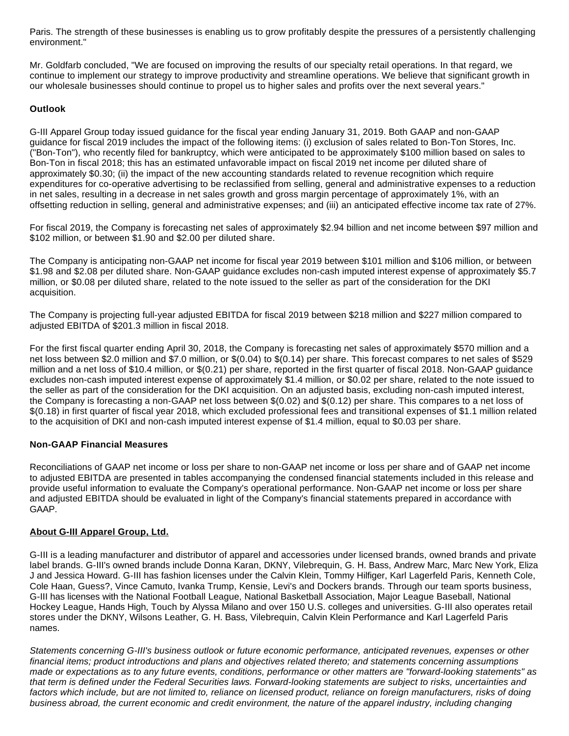Paris. The strength of these businesses is enabling us to grow profitably despite the pressures of a persistently challenging environment."

Mr. Goldfarb concluded, "We are focused on improving the results of our specialty retail operations. In that regard, we continue to implement our strategy to improve productivity and streamline operations. We believe that significant growth in our wholesale businesses should continue to propel us to higher sales and profits over the next several years."

## **Outlook**

G-III Apparel Group today issued guidance for the fiscal year ending January 31, 2019. Both GAAP and non-GAAP guidance for fiscal 2019 includes the impact of the following items: (i) exclusion of sales related to Bon-Ton Stores, Inc. ("Bon-Ton"), who recently filed for bankruptcy, which were anticipated to be approximately \$100 million based on sales to Bon-Ton in fiscal 2018; this has an estimated unfavorable impact on fiscal 2019 net income per diluted share of approximately \$0.30; (ii) the impact of the new accounting standards related to revenue recognition which require expenditures for co-operative advertising to be reclassified from selling, general and administrative expenses to a reduction in net sales, resulting in a decrease in net sales growth and gross margin percentage of approximately 1%, with an offsetting reduction in selling, general and administrative expenses; and (iii) an anticipated effective income tax rate of 27%.

For fiscal 2019, the Company is forecasting net sales of approximately \$2.94 billion and net income between \$97 million and \$102 million, or between \$1.90 and \$2.00 per diluted share.

The Company is anticipating non-GAAP net income for fiscal year 2019 between \$101 million and \$106 million, or between \$1.98 and \$2.08 per diluted share. Non-GAAP guidance excludes non-cash imputed interest expense of approximately \$5.7 million, or \$0.08 per diluted share, related to the note issued to the seller as part of the consideration for the DKI acquisition.

The Company is projecting full-year adjusted EBITDA for fiscal 2019 between \$218 million and \$227 million compared to adjusted EBITDA of \$201.3 million in fiscal 2018.

For the first fiscal quarter ending April 30, 2018, the Company is forecasting net sales of approximately \$570 million and a net loss between \$2.0 million and \$7.0 million, or \$(0.04) to \$(0.14) per share. This forecast compares to net sales of \$529 million and a net loss of \$10.4 million, or \$(0.21) per share, reported in the first quarter of fiscal 2018. Non-GAAP guidance excludes non-cash imputed interest expense of approximately \$1.4 million, or \$0.02 per share, related to the note issued to the seller as part of the consideration for the DKI acquisition. On an adjusted basis, excluding non-cash imputed interest, the Company is forecasting a non-GAAP net loss between \$(0.02) and \$(0.12) per share. This compares to a net loss of \$(0.18) in first quarter of fiscal year 2018, which excluded professional fees and transitional expenses of \$1.1 million related to the acquisition of DKI and non-cash imputed interest expense of \$1.4 million, equal to \$0.03 per share.

### **Non-GAAP Financial Measures**

Reconciliations of GAAP net income or loss per share to non-GAAP net income or loss per share and of GAAP net income to adjusted EBITDA are presented in tables accompanying the condensed financial statements included in this release and provide useful information to evaluate the Company's operational performance. Non-GAAP net income or loss per share and adjusted EBITDA should be evaluated in light of the Company's financial statements prepared in accordance with GAAP.

### **About G-III Apparel Group, Ltd.**

G-III is a leading manufacturer and distributor of apparel and accessories under licensed brands, owned brands and private label brands. G-III's owned brands include Donna Karan, DKNY, Vilebrequin, G. H. Bass, Andrew Marc, Marc New York, Eliza J and Jessica Howard. G-III has fashion licenses under the Calvin Klein, Tommy Hilfiger, Karl Lagerfeld Paris, Kenneth Cole, Cole Haan, Guess?, Vince Camuto, Ivanka Trump, Kensie, Levi's and Dockers brands. Through our team sports business, G-III has licenses with the National Football League, National Basketball Association, Major League Baseball, National Hockey League, Hands High, Touch by Alyssa Milano and over 150 U.S. colleges and universities. G-III also operates retail stores under the DKNY, Wilsons Leather, G. H. Bass, Vilebrequin, Calvin Klein Performance and Karl Lagerfeld Paris names.

Statements concerning G-III's business outlook or future economic performance, anticipated revenues, expenses or other financial items; product introductions and plans and objectives related thereto; and statements concerning assumptions made or expectations as to any future events, conditions, performance or other matters are "forward-looking statements" as that term is defined under the Federal Securities laws. Forward-looking statements are subject to risks, uncertainties and factors which include, but are not limited to, reliance on licensed product, reliance on foreign manufacturers, risks of doing business abroad, the current economic and credit environment, the nature of the apparel industry, including changing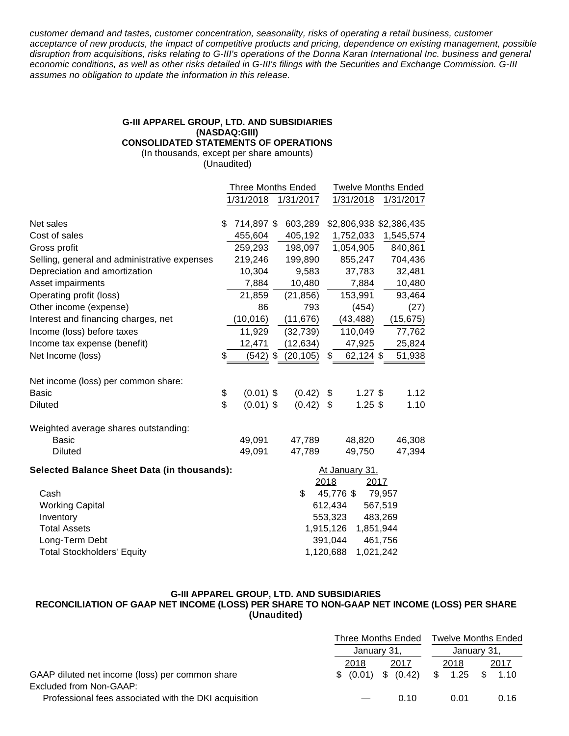customer demand and tastes, customer concentration, seasonality, risks of operating a retail business, customer acceptance of new products, the impact of competitive products and pricing, dependence on existing management, possible disruption from acquisitions, risks relating to G-III's operations of the Donna Karan International Inc. business and general economic conditions, as well as other risks detailed in G-III's filings with the Securities and Exchange Commission. G-III assumes no obligation to update the information in this release.

# **G-III APPAREL GROUP, LTD. AND SUBSIDIARIES (NASDAQ:GIII)**

**CONSOLIDATED STATEMENTS OF OPERATIONS**

(In thousands, except per share amounts) (Unaudited)

|                                                    |    | <b>Three Months Ended</b> |  |                | <b>Twelve Months Ended</b> |                    |  |                         |
|----------------------------------------------------|----|---------------------------|--|----------------|----------------------------|--------------------|--|-------------------------|
|                                                    |    | 1/31/2018                 |  | 1/31/2017      |                            | 1/31/2018          |  | 1/31/2017               |
|                                                    |    |                           |  |                |                            |                    |  |                         |
| Net sales                                          | \$ | 714,897 \$                |  | 603,289        |                            |                    |  | \$2,806,938 \$2,386,435 |
| Cost of sales                                      |    | 455,604                   |  | 405,192        |                            | 1,752,033          |  | 1,545,574               |
| Gross profit                                       |    | 259,293                   |  | 198,097        |                            | 1,054,905          |  | 840,861                 |
| Selling, general and administrative expenses       |    | 219,246                   |  | 199,890        |                            | 855,247            |  | 704,436                 |
| Depreciation and amortization                      |    | 10,304                    |  | 9,583          |                            | 37,783             |  | 32,481                  |
| Asset impairments                                  |    | 7,884                     |  | 10,480         |                            | 7,884              |  | 10,480                  |
| Operating profit (loss)                            |    | 21,859                    |  | (21, 856)      |                            | 153,991            |  | 93,464                  |
| Other income (expense)                             |    | 86                        |  | 793            |                            | (454)              |  | (27)                    |
| Interest and financing charges, net                |    | (10, 016)                 |  | (11, 676)      |                            | (43, 488)          |  | (15, 675)               |
| Income (loss) before taxes                         |    | 11,929                    |  | (32, 739)      |                            | 110,049            |  | 77,762                  |
| Income tax expense (benefit)                       |    | 12,471                    |  | (12, 634)      |                            | 47,925             |  | 25,824                  |
| Net Income (loss)                                  | \$ | $(542)$ \$                |  | (20, 105)      | \$                         | 62,124 \$          |  | 51,938                  |
| Net income (loss) per common share:                |    |                           |  |                |                            |                    |  |                         |
| <b>Basic</b>                                       | \$ | $(0.01)$ \$               |  | (0.42)         | \$                         | $1.27$ \$          |  | 1.12                    |
| <b>Diluted</b>                                     | \$ | $(0.01)$ \$               |  | (0.42)         | \$                         | $1.25$ \$          |  | 1.10                    |
| Weighted average shares outstanding:               |    |                           |  |                |                            |                    |  |                         |
| <b>Basic</b>                                       |    | 49,091                    |  | 47,789         |                            | 48,820             |  | 46,308                  |
| <b>Diluted</b>                                     |    | 49,091                    |  | 47,789         |                            | 49,750             |  | 47,394                  |
| <b>Selected Balance Sheet Data (in thousands):</b> |    |                           |  | At January 31, |                            |                    |  |                         |
|                                                    |    |                           |  |                | 2018                       | 2017               |  |                         |
| Cash                                               |    |                           |  | \$             |                            | 45,776 \$          |  | 79,957                  |
| <b>Working Capital</b>                             |    |                           |  |                |                            | 612,434<br>567,519 |  |                         |
| Inventory                                          |    |                           |  |                | 553,323<br>483,269         |                    |  |                         |
| <b>Total Assets</b>                                |    |                           |  | 1,915,126      |                            | 1,851,944          |  |                         |
| Long-Term Debt                                     |    |                           |  |                | 391,044                    | 461,756            |  |                         |
| <b>Total Stockholders' Equity</b>                  |    |                           |  | 1,120,688      |                            | 1,021,242          |  |                         |

# **G-III APPAREL GROUP, LTD. AND SUBSIDIARIES**

### **RECONCILIATION OF GAAP NET INCOME (LOSS) PER SHARE TO NON-GAAP NET INCOME (LOSS) PER SHARE (Unaudited)**

|                                                       | Three Months Ended<br>January 31, |                     | <b>Twelve Months Ended</b><br>January 31, |      |  |
|-------------------------------------------------------|-----------------------------------|---------------------|-------------------------------------------|------|--|
|                                                       |                                   |                     |                                           |      |  |
|                                                       | 2018                              | 2017                | 2018                                      | 2017 |  |
| GAAP diluted net income (loss) per common share       |                                   | \$ (0.01) \$ (0.42) | $$1.25$ \$                                | 1.10 |  |
| Excluded from Non-GAAP:                               |                                   |                     |                                           |      |  |
| Professional fees associated with the DKI acquisition |                                   | <u>በ 1በ</u>         | 0.01                                      | 0.16 |  |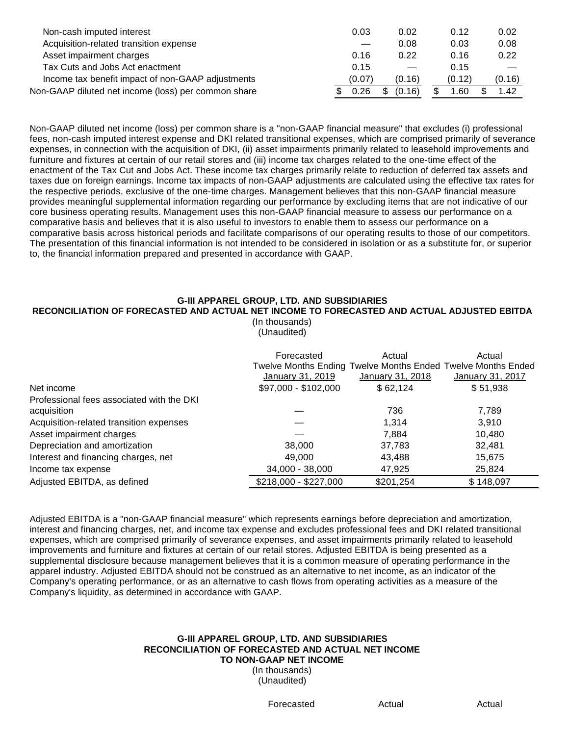| Non-cash imputed interest                           | 0.03   | 0.02        | 0.12   | 0.02   |
|-----------------------------------------------------|--------|-------------|--------|--------|
| Acquisition-related transition expense              |        | 0.08        | 0.03   | 0.08   |
| Asset impairment charges                            | 0.16   | 0.22        | 0.16   | 0.22   |
| Tax Cuts and Jobs Act enactment                     | 0.15   |             | 0.15   |        |
| Income tax benefit impact of non-GAAP adjustments   | (0.07) | (0.16)      | (0.12) | (0.16) |
| Non-GAAP diluted net income (loss) per common share | 0.26   | (0.16)<br>S | .60    | 1.42   |

Non-GAAP diluted net income (loss) per common share is a "non-GAAP financial measure" that excludes (i) professional fees, non-cash imputed interest expense and DKI related transitional expenses, which are comprised primarily of severance expenses, in connection with the acquisition of DKI, (ii) asset impairments primarily related to leasehold improvements and furniture and fixtures at certain of our retail stores and (iii) income tax charges related to the one-time effect of the enactment of the Tax Cut and Jobs Act. These income tax charges primarily relate to reduction of deferred tax assets and taxes due on foreign earnings. Income tax impacts of non-GAAP adjustments are calculated using the effective tax rates for the respective periods, exclusive of the one-time charges. Management believes that this non-GAAP financial measure provides meaningful supplemental information regarding our performance by excluding items that are not indicative of our core business operating results. Management uses this non-GAAP financial measure to assess our performance on a comparative basis and believes that it is also useful to investors to enable them to assess our performance on a comparative basis across historical periods and facilitate comparisons of our operating results to those of our competitors. The presentation of this financial information is not intended to be considered in isolation or as a substitute for, or superior to, the financial information prepared and presented in accordance with GAAP.

### **G-III APPAREL GROUP, LTD. AND SUBSIDIARIES**

### **RECONCILIATION OF FORECASTED AND ACTUAL NET INCOME TO FORECASTED AND ACTUAL ADJUSTED EBITDA**

(In thousands) (Unaudited)

| Net income                                               | Forecasted<br>Twelve Months Ending Twelve Months Ended Twelve Months Ended<br>January 31, 2019<br>\$97,000 - \$102,000 | Actual<br>January 31, 2018<br>\$62,124 | Actual<br><b>January 31, 2017</b><br>\$51,938 |
|----------------------------------------------------------|------------------------------------------------------------------------------------------------------------------------|----------------------------------------|-----------------------------------------------|
|                                                          |                                                                                                                        |                                        |                                               |
| Professional fees associated with the DKI<br>acquisition |                                                                                                                        | 736                                    | 7,789                                         |
| Acquisition-related transition expenses                  |                                                                                                                        | 1,314                                  | 3,910                                         |
| Asset impairment charges                                 |                                                                                                                        | 7.884                                  | 10,480                                        |
| Depreciation and amortization                            | 38,000                                                                                                                 | 37,783                                 | 32,481                                        |
| Interest and financing charges, net                      | 49,000                                                                                                                 | 43,488                                 | 15,675                                        |
| Income tax expense                                       | 34,000 - 38,000                                                                                                        | 47,925                                 | 25,824                                        |
| Adjusted EBITDA, as defined                              | \$218,000 - \$227,000                                                                                                  | \$201,254                              | \$148,097                                     |

Adjusted EBITDA is a "non-GAAP financial measure" which represents earnings before depreciation and amortization, interest and financing charges, net, and income tax expense and excludes professional fees and DKI related transitional expenses, which are comprised primarily of severance expenses, and asset impairments primarily related to leasehold improvements and furniture and fixtures at certain of our retail stores. Adjusted EBITDA is being presented as a supplemental disclosure because management believes that it is a common measure of operating performance in the apparel industry. Adjusted EBITDA should not be construed as an alternative to net income, as an indicator of the Company's operating performance, or as an alternative to cash flows from operating activities as a measure of the Company's liquidity, as determined in accordance with GAAP.

# **G-III APPAREL GROUP, LTD. AND SUBSIDIARIES RECONCILIATION OF FORECASTED AND ACTUAL NET INCOME TO NON-GAAP NET INCOME**

(In thousands) (Unaudited)

Forecasted **Actual** Actual **Actual**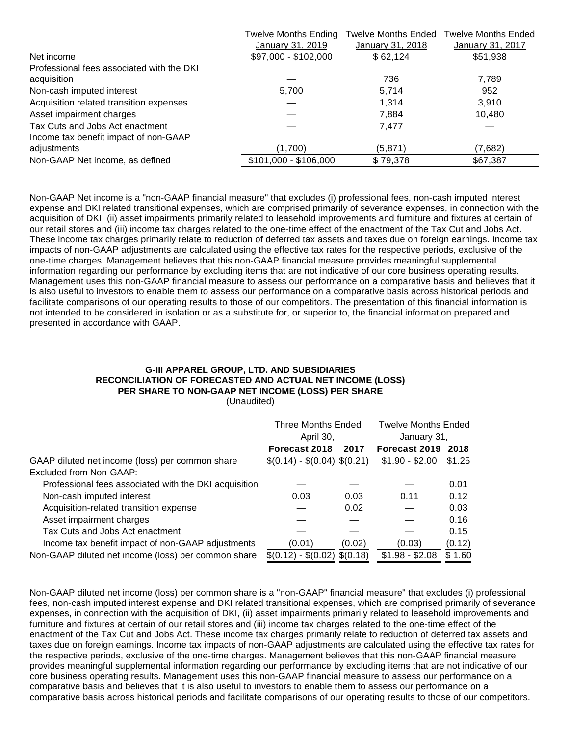|                                           | Twelve Months Ending  | <b>Twelve Months Ended</b> | <b>Twelve Months Ended</b> |
|-------------------------------------------|-----------------------|----------------------------|----------------------------|
|                                           | January 31, 2019      | <b>January 31, 2018</b>    | <b>January 31, 2017</b>    |
| Net income                                | \$97,000 - \$102,000  | \$62,124                   | \$51,938                   |
| Professional fees associated with the DKI |                       |                            |                            |
| acquisition                               |                       | 736                        | 7,789                      |
| Non-cash imputed interest                 | 5,700                 | 5,714                      | 952                        |
| Acquisition related transition expenses   |                       | 1,314                      | 3,910                      |
| Asset impairment charges                  |                       | 7,884                      | 10,480                     |
| Tax Cuts and Jobs Act enactment           |                       | 7,477                      |                            |
| Income tax benefit impact of non-GAAP     |                       |                            |                            |
| adjustments                               | (1,700)               | (5, 871)                   | (7,682)                    |
| Non-GAAP Net income, as defined           | \$101,000 - \$106,000 | \$79,378                   | \$67,387                   |

Non-GAAP Net income is a "non-GAAP financial measure" that excludes (i) professional fees, non-cash imputed interest expense and DKI related transitional expenses, which are comprised primarily of severance expenses, in connection with the acquisition of DKI, (ii) asset impairments primarily related to leasehold improvements and furniture and fixtures at certain of our retail stores and (iii) income tax charges related to the one-time effect of the enactment of the Tax Cut and Jobs Act. These income tax charges primarily relate to reduction of deferred tax assets and taxes due on foreign earnings. Income tax impacts of non-GAAP adjustments are calculated using the effective tax rates for the respective periods, exclusive of the one-time charges. Management believes that this non-GAAP financial measure provides meaningful supplemental information regarding our performance by excluding items that are not indicative of our core business operating results. Management uses this non-GAAP financial measure to assess our performance on a comparative basis and believes that it is also useful to investors to enable them to assess our performance on a comparative basis across historical periods and facilitate comparisons of our operating results to those of our competitors. The presentation of this financial information is not intended to be considered in isolation or as a substitute for, or superior to, the financial information prepared and presented in accordance with GAAP.

### **G-III APPAREL GROUP, LTD. AND SUBSIDIARIES RECONCILIATION OF FORECASTED AND ACTUAL NET INCOME (LOSS) PER SHARE TO NON-GAAP NET INCOME (LOSS) PER SHARE** (Unaudited)

|                                                       | <b>Three Months Ended</b>     |          | <b>Twelve Months Ended</b> |        |
|-------------------------------------------------------|-------------------------------|----------|----------------------------|--------|
|                                                       | April 30,                     |          | January 31,                |        |
|                                                       | Forecast 2018                 | 2017     | Forecast 2019              | 2018   |
| GAAP diluted net income (loss) per common share       | $$(0.14) - $(0.04)$ $$(0.21)$ |          | $$1.90 - $2.00$            | \$1.25 |
| Excluded from Non-GAAP:                               |                               |          |                            |        |
| Professional fees associated with the DKI acquisition |                               |          |                            | 0.01   |
| Non-cash imputed interest                             | 0.03                          | 0.03     | 0.11                       | 0.12   |
| Acquisition-related transition expense                |                               | 0.02     |                            | 0.03   |
| Asset impairment charges                              |                               |          |                            | 0.16   |
| Tax Cuts and Jobs Act enactment                       |                               |          |                            | 0.15   |
| Income tax benefit impact of non-GAAP adjustments     | (0.01)                        | (0.02)   | (0.03)                     | (0.12) |
| Non-GAAP diluted net income (loss) per common share   | $$(0.12) - $(0.02)$$          | \$(0.18) | $$1.98 - $2.08$            | \$1.60 |

Non-GAAP diluted net income (loss) per common share is a "non-GAAP" financial measure" that excludes (i) professional fees, non-cash imputed interest expense and DKI related transitional expenses, which are comprised primarily of severance expenses, in connection with the acquisition of DKI, (ii) asset impairments primarily related to leasehold improvements and furniture and fixtures at certain of our retail stores and (iii) income tax charges related to the one-time effect of the enactment of the Tax Cut and Jobs Act. These income tax charges primarily relate to reduction of deferred tax assets and taxes due on foreign earnings. Income tax impacts of non-GAAP adjustments are calculated using the effective tax rates for the respective periods, exclusive of the one-time charges. Management believes that this non-GAAP financial measure provides meaningful supplemental information regarding our performance by excluding items that are not indicative of our core business operating results. Management uses this non-GAAP financial measure to assess our performance on a comparative basis and believes that it is also useful to investors to enable them to assess our performance on a comparative basis across historical periods and facilitate comparisons of our operating results to those of our competitors.